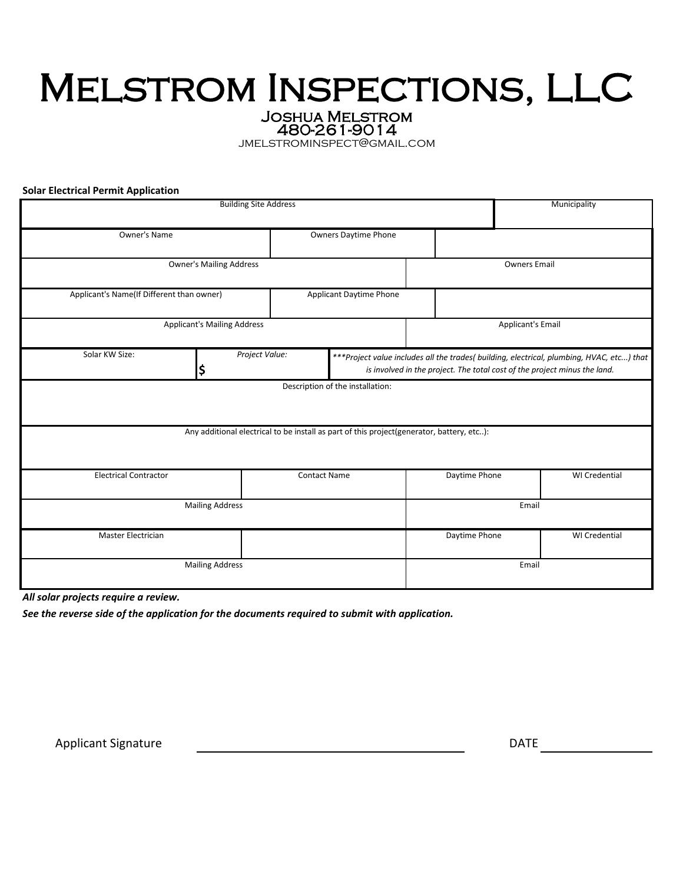# Melstrom Inspections, LLC

Joshua Melstrom 480-261-9014

jmelstrominspect@gmail.com

**Solar Electrical Permit Application**

|                                                                                           | Municipality         |                                                                                                                                                                        |                          |                      |  |
|-------------------------------------------------------------------------------------------|----------------------|------------------------------------------------------------------------------------------------------------------------------------------------------------------------|--------------------------|----------------------|--|
| <b>Owner's Name</b>                                                                       |                      | <b>Owners Daytime Phone</b>                                                                                                                                            |                          |                      |  |
| <b>Owner's Mailing Address</b>                                                            |                      |                                                                                                                                                                        | <b>Owners Email</b>      |                      |  |
| Applicant's Name(If Different than owner)                                                 |                      | Applicant Daytime Phone                                                                                                                                                |                          |                      |  |
| <b>Applicant's Mailing Address</b>                                                        |                      |                                                                                                                                                                        | <b>Applicant's Email</b> |                      |  |
| Solar KW Size:                                                                            | Project Value:<br>\$ | ***Project value includes all the trades( building, electrical, plumbing, HVAC, etc) that<br>is involved in the project. The total cost of the project minus the land. |                          |                      |  |
| Description of the installation:                                                          |                      |                                                                                                                                                                        |                          |                      |  |
| Any additional electrical to be install as part of this project(generator, battery, etc): |                      |                                                                                                                                                                        |                          |                      |  |
| <b>Electrical Contractor</b>                                                              |                      | <b>Contact Name</b>                                                                                                                                                    | Daytime Phone            | <b>WI</b> Credential |  |
| <b>Mailing Address</b>                                                                    |                      |                                                                                                                                                                        | Email                    |                      |  |
| Master Electrician                                                                        |                      |                                                                                                                                                                        | Daytime Phone            | WI Credential        |  |
| <b>Mailing Address</b>                                                                    |                      |                                                                                                                                                                        | Email                    |                      |  |

*All solar projects require a review.*

*See the reverse side of the application for the documents required to submit with application.*

Applicant Signature

DATE **DESIGNATE**